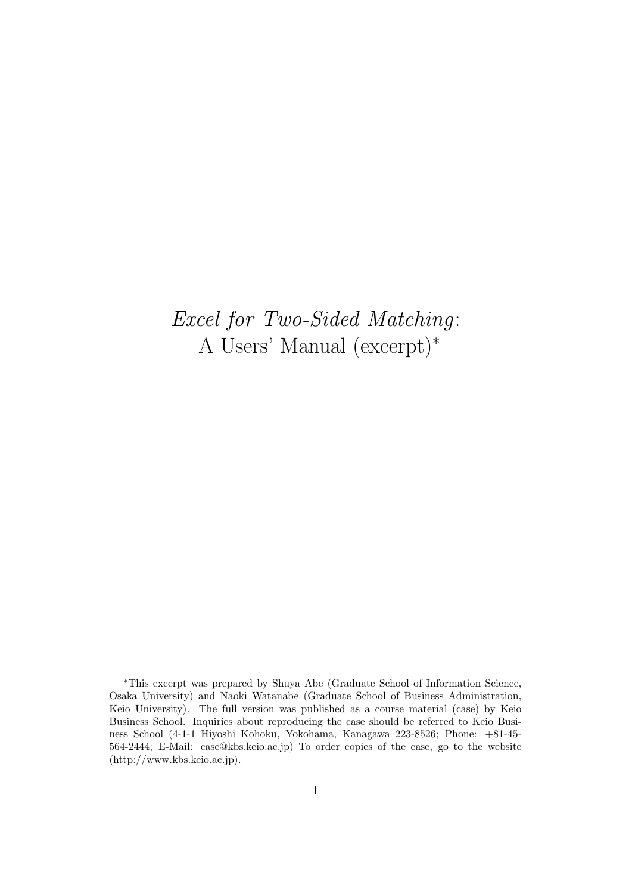# *Excel for Two-Sided Matching*: A Users' Manual (excerpt)*<sup>∗</sup>*

*<sup>∗</sup>*This excerpt was prepared by Shuya Abe (Graduate School of Information Science, Osaka University) and Naoki Watanabe (Graduate School of Business Administration, Keio University). The full version was published as a course material (case) by Keio Business School. Inquiries about reproducing the case should be referred to Keio Business School (4-1-1 Hiyoshi Kohoku, Yokohama, Kanagawa 223-8526; Phone: +81-45- 564-2444; E-Mail: case@kbs.keio.ac.jp) To order copies of the case, go to the website (http://www.kbs.keio.ac.jp).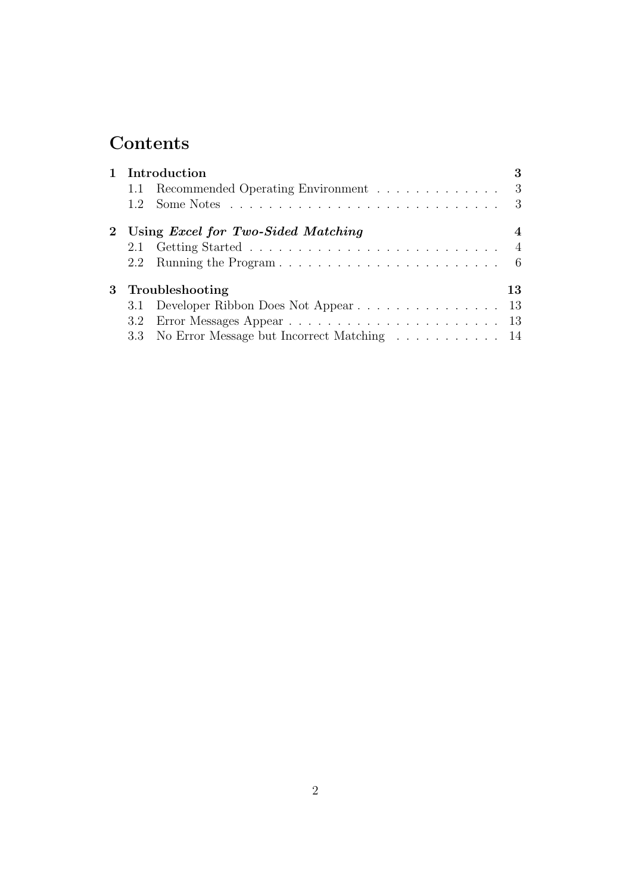# **Contents**

|  | 1 Introduction                                 | 3              |
|--|------------------------------------------------|----------------|
|  | 1.1 Recommended Operating Environment 3        |                |
|  |                                                | - 3            |
|  | 2 Using <i>Excel for Two-Sided Matching</i>    | 4              |
|  |                                                | $\overline{4}$ |
|  |                                                |                |
|  | 3 Troubleshooting                              | 13             |
|  |                                                |                |
|  |                                                |                |
|  | 3.3 No Error Message but Incorrect Matching 14 |                |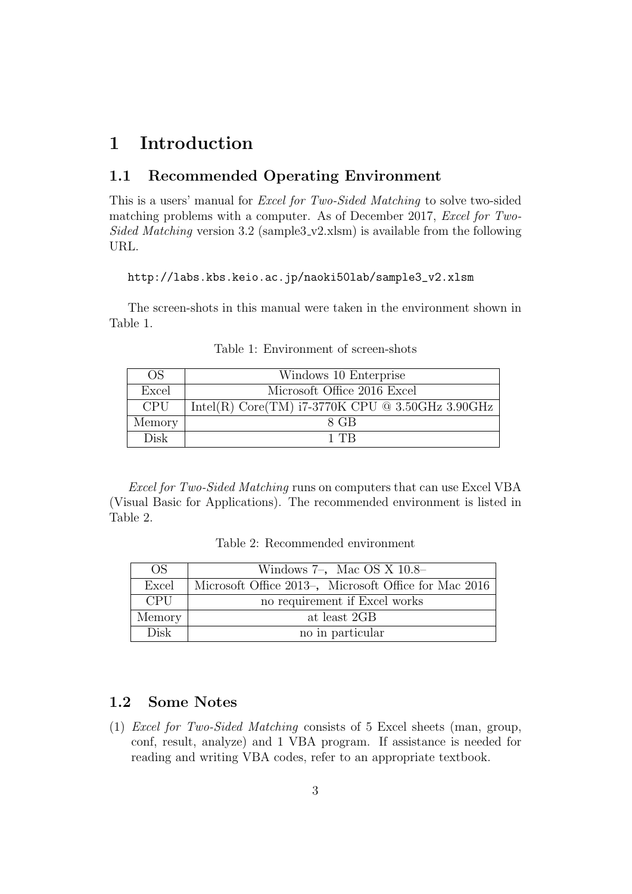## **1 Introduction**

#### **1.1 Recommended Operating Environment**

This is a users' manual for *Excel for Two-Sided Matching* to solve two-sided matching problems with a computer. As of December 2017, *Excel for Two-Sided Matching* version 3.2 (sample3\_v2.xlsm) is available from the following URL.

http://labs.kbs.keio.ac.jp/naoki50lab/sample3\_v2.xlsm

The screen-shots in this manual were taken in the environment shown in Table 1.

| OS.        | Windows 10 Enterprise                              |
|------------|----------------------------------------------------|
| Excel      | Microsoft Office 2016 Excel                        |
| <b>CPU</b> | Intel(R) Core(TM) $i7-3770K$ CPU @ 3.50GHz 3.90GHz |
| Memory     | 8 GB                                               |
| Disk       | 1 TR                                               |

Table 1: Environment of screen-shots

*Excel for Two-Sided Matching* runs on computers that can use Excel VBA (Visual Basic for Applications). The recommended environment is listed in Table 2.

Table 2: Recommended environment

| OS.         | Windows $7$ –, Mac OS X 10.8–                         |
|-------------|-------------------------------------------------------|
| Excel       | Microsoft Office 2013-, Microsoft Office for Mac 2016 |
| <b>CPU</b>  | no requirement if Excel works                         |
| Memory      | at least 2GB                                          |
| <b>Disk</b> | no in particular                                      |

#### **1.2 Some Notes**

(1) *Excel for Two-Sided Matching* consists of 5 Excel sheets (man, group, conf, result, analyze) and 1 VBA program. If assistance is needed for reading and writing VBA codes, refer to an appropriate textbook.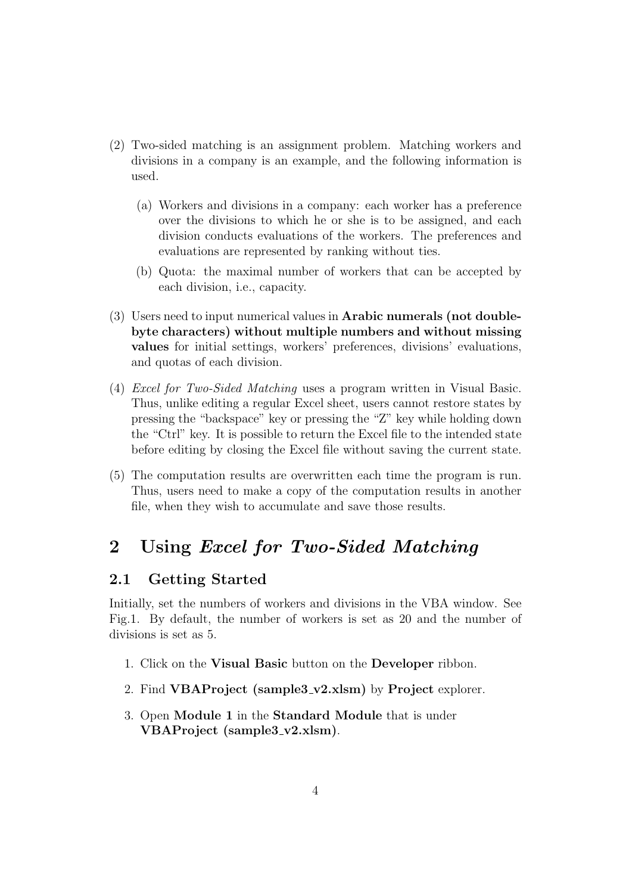- (2) Two-sided matching is an assignment problem. Matching workers and divisions in a company is an example, and the following information is used.
	- (a) Workers and divisions in a company: each worker has a preference over the divisions to which he or she is to be assigned, and each division conducts evaluations of the workers. The preferences and evaluations are represented by ranking without ties.
	- (b) Quota: the maximal number of workers that can be accepted by each division, i.e., capacity.
- (3) Users need to input numerical values in **Arabic numerals (not doublebyte characters) without multiple numbers and without missing values** for initial settings, workers' preferences, divisions' evaluations, and quotas of each division.
- (4) *Excel for Two-Sided Matching* uses a program written in Visual Basic. Thus, unlike editing a regular Excel sheet, users cannot restore states by pressing the "backspace" key or pressing the "Z" key while holding down the "Ctrl" key. It is possible to return the Excel file to the intended state before editing by closing the Excel file without saving the current state.
- (5) The computation results are overwritten each time the program is run. Thus, users need to make a copy of the computation results in another file, when they wish to accumulate and save those results.

### **2 Using** *Excel for Two-Sided Matching*

#### **2.1 Getting Started**

Initially, set the numbers of workers and divisions in the VBA window. See Fig.1. By default, the number of workers is set as 20 and the number of divisions is set as 5.

- 1. Click on the **Visual Basic** button on the **Developer** ribbon.
- 2. Find **VBAProject (sample3 v2.xlsm)** by **Project** explorer.
- 3. Open **Module 1** in the **Standard Module** that is under **VBAProject (sample3 v2.xlsm)**.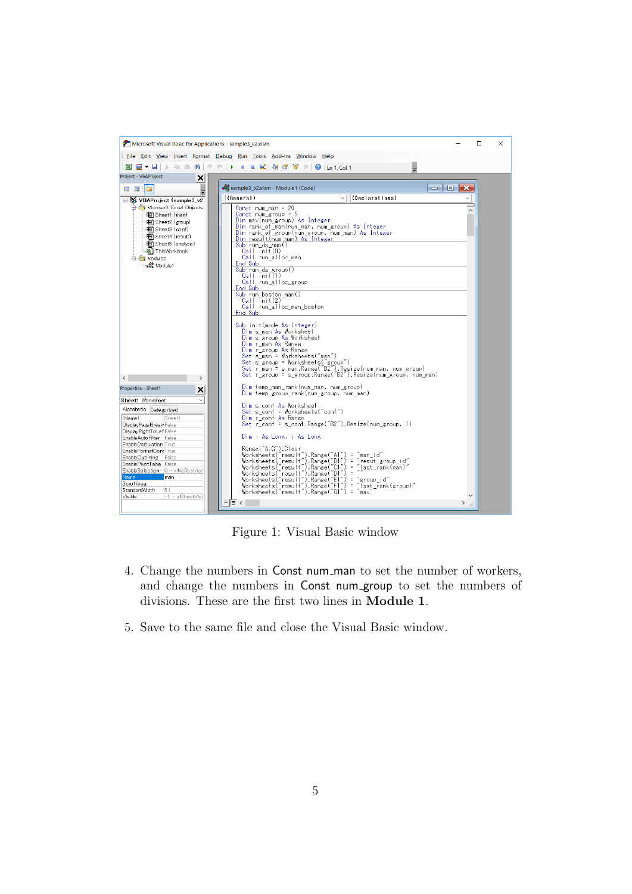

Figure 1: Visual Basic window

- 4. Change the numbers in Const num man to set the number of workers, and change the numbers in Const num group to set the numbers of divisions. These are the first two lines in **Module 1**.
- 5. Save to the same file and close the Visual Basic window.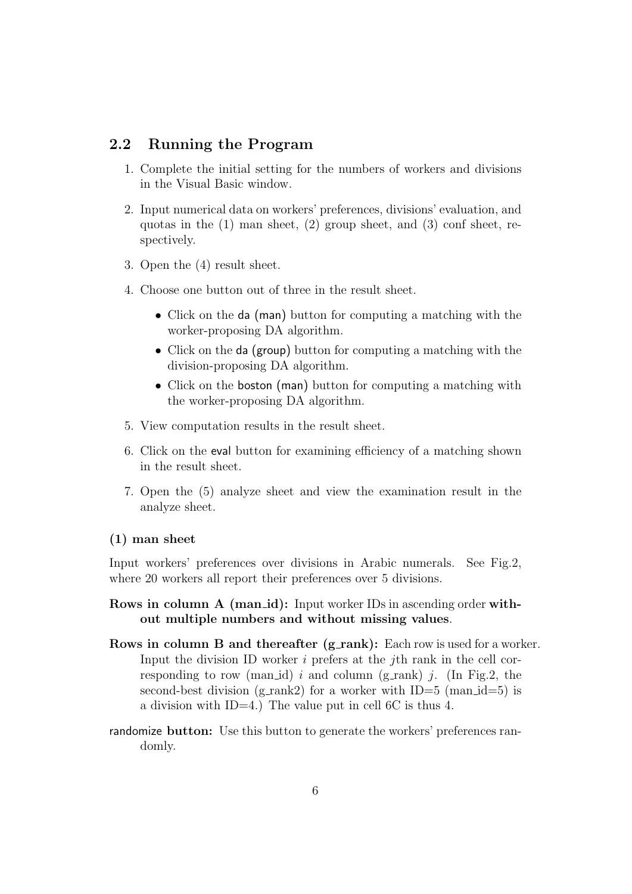#### **2.2 Running the Program**

- 1. Complete the initial setting for the numbers of workers and divisions in the Visual Basic window.
- 2. Input numerical data on workers' preferences, divisions' evaluation, and quotas in the (1) man sheet, (2) group sheet, and (3) conf sheet, respectively.
- 3. Open the (4) result sheet.
- 4. Choose one button out of three in the result sheet.
	- Click on the da (man) button for computing a matching with the worker-proposing DA algorithm.
	- Click on the da (group) button for computing a matching with the division-proposing DA algorithm.
	- Click on the boston (man) button for computing a matching with the worker-proposing DA algorithm.
- 5. View computation results in the result sheet.
- 6. Click on the eval button for examining efficiency of a matching shown in the result sheet.
- 7. Open the (5) analyze sheet and view the examination result in the analyze sheet.

#### **(1) man sheet**

Input workers' preferences over divisions in Arabic numerals. See Fig.2, where 20 workers all report their preferences over 5 divisions.

- **Rows in column A (man\_id):** Input worker IDs in ascending order with**out multiple numbers and without missing values**.
- **Rows in column B and thereafter (g\_rank):** Each row is used for a worker. Input the division ID worker *i* prefers at the *j*th rank in the cell corresponding to row (man id)  $i$  and column (g\_rank)  $j$ . (In Fig.2, the second-best division (g\_rank2) for a worker with  $ID=5$  (man\_id=5) is a division with ID=4.) The value put in cell 6C is thus 4.
- randomize **button:** Use this button to generate the workers' preferences randomly.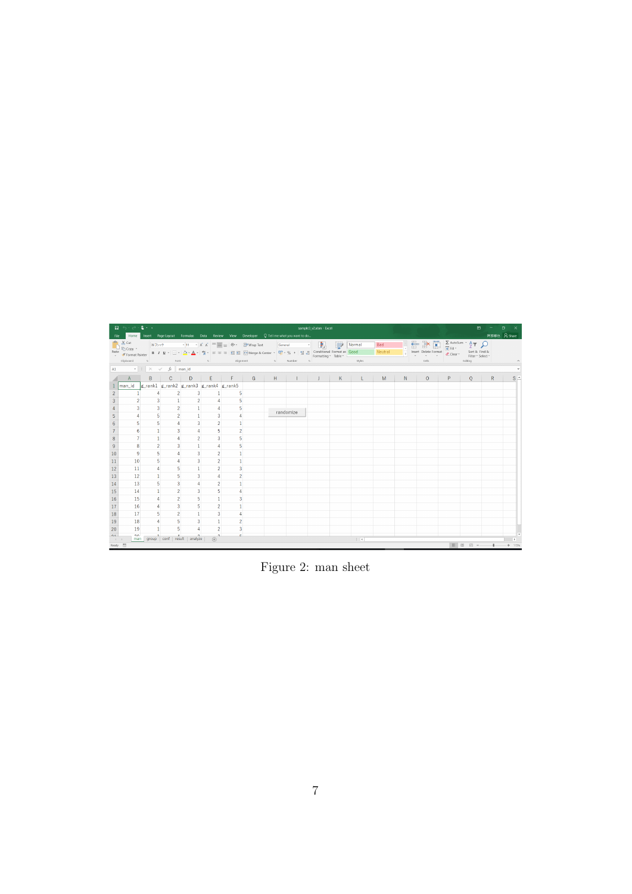|                       | $\Box$ big $\Lambda$ .<br>sample3_v2.xlsm - Excel<br>Home Insert Page Layout Formulas Data Review View Developer Q Tell me what you want to do |                |                         |                                               |                             |                |  |  |                                                                                                                                                                                                                                                                                                                                           |  |  |          |         |  |                                                                                                                                                                                       | $\mathbf{E}$ |                              | $\sigma$ |                       |
|-----------------------|------------------------------------------------------------------------------------------------------------------------------------------------|----------------|-------------------------|-----------------------------------------------|-----------------------------|----------------|--|--|-------------------------------------------------------------------------------------------------------------------------------------------------------------------------------------------------------------------------------------------------------------------------------------------------------------------------------------------|--|--|----------|---------|--|---------------------------------------------------------------------------------------------------------------------------------------------------------------------------------------|--------------|------------------------------|----------|-----------------------|
| File                  |                                                                                                                                                |                |                         |                                               |                             |                |  |  |                                                                                                                                                                                                                                                                                                                                           |  |  |          |         |  |                                                                                                                                                                                       |              |                              |          | 阿部修也 A Share          |
|                       |                                                                                                                                                |                |                         |                                               |                             |                |  |  | $\sum_{i=1}^{\infty} \frac{X_i}{U_i}$ Out $\sum_{i=1}^{\infty} \frac{1}{U_i}$ $\sum_{i=1}^{\infty} \frac{1}{V_i}$ $\sum_{i=1}^{\infty} \frac{X_i}{V_i}$ $\sum_{i=1}^{\infty} \frac{1}{V_i}$ $\sum_{i=1}^{\infty} \frac{1}{V_i}$ $\sum_{i=1}^{\infty} \frac{1}{V_i}$ $\sum_{i=1}^{\infty} \frac{1}{V_i}$                                   |  |  | Normal   | Bad     |  | $\frac{1}{2}$ $\frac{1}{2}$ $\frac{1}{2}$ $\frac{1}{2}$ $\frac{1}{2}$ $\frac{1}{2}$ $\frac{1}{2}$ $\frac{1}{2}$ $\frac{1}{2}$ $\frac{1}{2}$ $\frac{1}{2}$ $\frac{1}{2}$ $\frac{1}{2}$ |              |                              |          |                       |
|                       | Paste<br>V Format Painter                                                                                                                      |                |                         |                                               |                             |                |  |  | <b>B</b> $I \perp \perp \Box$ $\cdot \Box$ $\Box$ $\wedge$ $\Delta$ $\cdot \parallel \frac{2k}{A} \cdot \parallel$ $\equiv \equiv \equiv \frac{1}{2}$ $\equiv \Box$ Merge & Center $\cdot \parallel \frac{1}{2} \cdot \%$ $\rightarrow \parallel \frac{1}{2} \parallel \frac{1}{2} \parallel$ Conditional Formating $\cdot$ Table $\cdot$ |  |  |          | Neutral |  |                                                                                                                                                                                       |              | Sort & Find &                |          |                       |
|                       |                                                                                                                                                |                |                         |                                               |                             |                |  |  | Clipboard G - Font G - Alignment G - Number G                                                                                                                                                                                                                                                                                             |  |  | Styles   |         |  | and the contract of the contract of the contract of the contract of the contract of the contract of the contract of                                                                   |              | Filter * Select *<br>Editing |          |                       |
|                       |                                                                                                                                                |                |                         |                                               |                             |                |  |  |                                                                                                                                                                                                                                                                                                                                           |  |  |          |         |  |                                                                                                                                                                                       |              |                              |          |                       |
|                       | A                                                                                                                                              | B              |                         |                                               |                             |                |  |  |                                                                                                                                                                                                                                                                                                                                           |  |  |          |         |  | N<br>0                                                                                                                                                                                | P.           | $\circ$                      | R        | $S \triangleq$        |
|                       | man_id  g_rank1  g_rank2  g_rank3  g_rank4  g_rank5                                                                                            |                |                         |                                               |                             |                |  |  |                                                                                                                                                                                                                                                                                                                                           |  |  |          |         |  |                                                                                                                                                                                       |              |                              |          |                       |
| $\overline{2}$        |                                                                                                                                                | $\overline{4}$ | $\overline{2}$          | 3                                             |                             |                |  |  |                                                                                                                                                                                                                                                                                                                                           |  |  |          |         |  |                                                                                                                                                                                       |              |                              |          |                       |
| 3                     | $\overline{a}$                                                                                                                                 | $\mathbf{3}$   | $\mathbf{1}$            | $\overline{2}$                                |                             |                |  |  |                                                                                                                                                                                                                                                                                                                                           |  |  |          |         |  |                                                                                                                                                                                       |              |                              |          |                       |
|                       | 3                                                                                                                                              | $\overline{3}$ | $\overline{2}$          |                                               |                             |                |  |  | randomize                                                                                                                                                                                                                                                                                                                                 |  |  |          |         |  |                                                                                                                                                                                       |              |                              |          |                       |
| 5                     |                                                                                                                                                | 5              | $\overline{2}$          | $\mathbf{1}$                                  | $\overline{3}$              |                |  |  |                                                                                                                                                                                                                                                                                                                                           |  |  |          |         |  |                                                                                                                                                                                       |              |                              |          |                       |
|                       | 5                                                                                                                                              | $\overline{5}$ | $\overline{4}$          | $\overline{3}$                                | $\overline{2}$              |                |  |  |                                                                                                                                                                                                                                                                                                                                           |  |  |          |         |  |                                                                                                                                                                                       |              |                              |          |                       |
|                       | 6                                                                                                                                              | $\mathbf{1}$   | $\overline{\mathbf{3}}$ | $\overline{4}$                                | 5                           | $\overline{2}$ |  |  |                                                                                                                                                                                                                                                                                                                                           |  |  |          |         |  |                                                                                                                                                                                       |              |                              |          |                       |
| 8                     |                                                                                                                                                | $\mathbf{1}$   | $\overline{4}$          | $\overline{2}$                                | $\overline{3}$              | 5              |  |  |                                                                                                                                                                                                                                                                                                                                           |  |  |          |         |  |                                                                                                                                                                                       |              |                              |          |                       |
|                       | 8                                                                                                                                              | $\overline{2}$ | 3                       | $\mathbf{1}$                                  | 4                           | 5              |  |  |                                                                                                                                                                                                                                                                                                                                           |  |  |          |         |  |                                                                                                                                                                                       |              |                              |          |                       |
| 10                    | 9                                                                                                                                              | 5 <sup>1</sup> | $\overline{4}$          | 3                                             | $\overline{2}$              |                |  |  |                                                                                                                                                                                                                                                                                                                                           |  |  |          |         |  |                                                                                                                                                                                       |              |                              |          |                       |
| 11                    | 10                                                                                                                                             | $\overline{5}$ | $\overline{4}$          | 3                                             | $\overline{2}$              | 1              |  |  |                                                                                                                                                                                                                                                                                                                                           |  |  |          |         |  |                                                                                                                                                                                       |              |                              |          |                       |
| 12                    | 11                                                                                                                                             | $\overline{4}$ | 5 <sup>1</sup>          | $\mathbf{1}$                                  | $\overline{2}$              | 3              |  |  |                                                                                                                                                                                                                                                                                                                                           |  |  |          |         |  |                                                                                                                                                                                       |              |                              |          |                       |
| 13                    | 12                                                                                                                                             | $\mathbf{1}$   | 5                       | 3                                             |                             | 2              |  |  |                                                                                                                                                                                                                                                                                                                                           |  |  |          |         |  |                                                                                                                                                                                       |              |                              |          |                       |
| 14                    | 13                                                                                                                                             | 5              | $\overline{\mathbf{3}}$ |                                               | $\overline{a}$              |                |  |  |                                                                                                                                                                                                                                                                                                                                           |  |  |          |         |  |                                                                                                                                                                                       |              |                              |          |                       |
| 15                    | 14                                                                                                                                             | $\mathbf{1}$   | $\overline{2}$          | 3                                             | 5                           |                |  |  |                                                                                                                                                                                                                                                                                                                                           |  |  |          |         |  |                                                                                                                                                                                       |              |                              |          |                       |
| 16                    | 15                                                                                                                                             | $\overline{4}$ | $\overline{2}$          | 5                                             | $\mathbf{1}$                | 3              |  |  |                                                                                                                                                                                                                                                                                                                                           |  |  |          |         |  |                                                                                                                                                                                       |              |                              |          |                       |
| 17                    | 16                                                                                                                                             | $\overline{4}$ | $\overline{3}$          | 5                                             | $\overline{2}$              |                |  |  |                                                                                                                                                                                                                                                                                                                                           |  |  |          |         |  |                                                                                                                                                                                       |              |                              |          |                       |
| 18                    | 17                                                                                                                                             | 5              | $\overline{2}$          | $\mathbf{1}$                                  | 3                           |                |  |  |                                                                                                                                                                                                                                                                                                                                           |  |  |          |         |  |                                                                                                                                                                                       |              |                              |          |                       |
| 19                    | 18                                                                                                                                             | $\overline{4}$ | 5                       | $\overline{3}$                                | $\mathbf{1}$                | $\overline{2}$ |  |  |                                                                                                                                                                                                                                                                                                                                           |  |  |          |         |  |                                                                                                                                                                                       |              |                              |          |                       |
| 20                    | 19                                                                                                                                             |                | 5                       |                                               | $\overline{2}$              | 3              |  |  |                                                                                                                                                                                                                                                                                                                                           |  |  |          |         |  |                                                                                                                                                                                       |              |                              |          |                       |
| 01<br>$\sim$ 4 $-$ 10 | 20 <sup>o</sup>                                                                                                                                |                |                         | $\sim$<br>man group   conf   result   analyze | $\mathbf{a}$<br>$\bigoplus$ | c.             |  |  |                                                                                                                                                                                                                                                                                                                                           |  |  | $\pm$ 31 |         |  |                                                                                                                                                                                       |              |                              |          | $\blacktriangleright$ |
| Ready <sup>87</sup>   |                                                                                                                                                |                |                         |                                               |                             |                |  |  |                                                                                                                                                                                                                                                                                                                                           |  |  |          |         |  |                                                                                                                                                                                       |              | 图 四 --                       |          | $+ 115%$              |

Figure 2: man sheet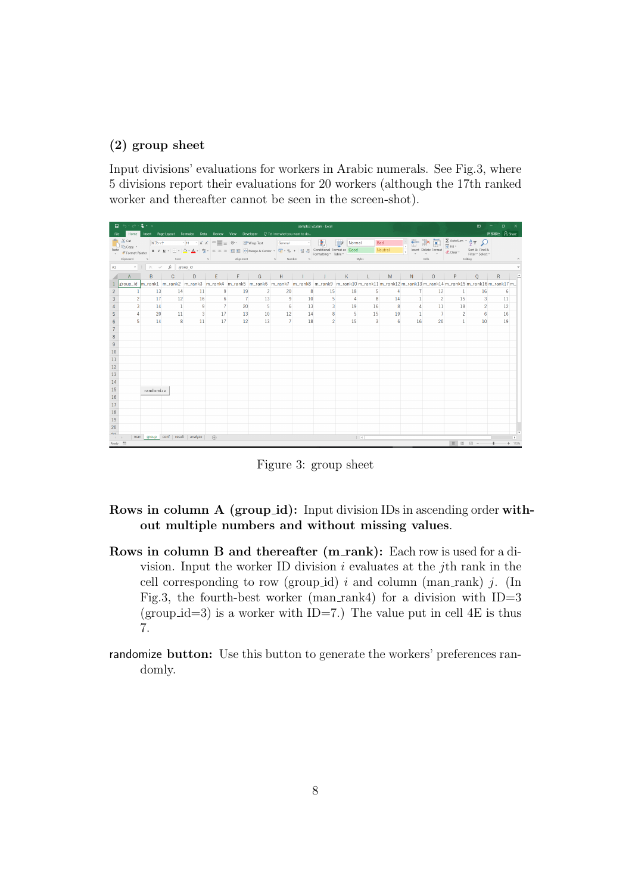#### **(2) group sheet**

Input divisions' evaluations for workers in Arabic numerals. See Fig.3, where 5 divisions report their evaluations for 20 workers (although the 17th ranked worker and thereafter cannot be seen in the screen-shot).

|                                   | $\Box$ big $\triangle$ is<br>sample3_v2.xlsm - Excel<br>Home Insert Page Layout Formulas Data Review View Developer Q Tell me what you want to do |           |                                                     |                |             |                |                                                                                                                                                                                                                                                                                                                                                                                                                                                                                                                                        |                 |    |                         |                                    |             |         |                |                      | $\mathbf{E}$                      | $\blacksquare$                                                                                                                                                                 |              |          |  |
|-----------------------------------|---------------------------------------------------------------------------------------------------------------------------------------------------|-----------|-----------------------------------------------------|----------------|-------------|----------------|----------------------------------------------------------------------------------------------------------------------------------------------------------------------------------------------------------------------------------------------------------------------------------------------------------------------------------------------------------------------------------------------------------------------------------------------------------------------------------------------------------------------------------------|-----------------|----|-------------------------|------------------------------------|-------------|---------|----------------|----------------------|-----------------------------------|--------------------------------------------------------------------------------------------------------------------------------------------------------------------------------|--------------|----------|--|
| File                              |                                                                                                                                                   |           |                                                     |                |             |                |                                                                                                                                                                                                                                                                                                                                                                                                                                                                                                                                        |                 |    |                         |                                    |             |         |                |                      |                                   |                                                                                                                                                                                | 阿部修也 A Share |          |  |
|                                   | A Cut<br>B B Copy -                                                                                                                               |           |                                                     |                |             |                | $\text{B12y27} \quad \bullet \quad  11 \quad \bullet \quad \text{A} \quad \text{A}^{\dagger} = \text{B} \quad \text{B200} \quad \text{b300} \quad \text{C400} \quad \bullet \quad \text{C500} \quad \bullet \quad \text{C600} \quad \bullet \quad \bullet \quad \text{C600} \quad \bullet \quad \bullet \quad \text{C600} \quad \bullet \quad \bullet \quad \text{C600} \quad \bullet \quad \bullet \quad \text{C600} \quad \bullet \quad \bullet \quad \text{C600} \quad \bullet \quad \bullet \quad \text{C600} \quad \bullet \quad$ |                 |    |                         | $\overline{\phantom{a}}$<br>Normal |             | Bad     |                | 春季草                  |                                   | $\sum_{\text{max}}$ AutoSum $\rightarrow$ $\frac{A}{Z}$ $\uparrow$ $\downarrow$                                                                                                |              |          |  |
| Paste                             | Format Painter                                                                                                                                    |           |                                                     |                |             |                | <b>B</b> $I \underline{u} \cdot  \pm \cdot $ $\bigcirc$ $\cdot$ $\underline{A} \cdot  \frac{4s}{A} \cdot \equiv \equiv \equiv  \pm $ $\underline{\equiv}$ $\underline{\equiv}$ $\text{where}$ & Center $\cdot$ $\underline{C}$ $\rightarrow$ % $\rightarrow  \frac{63}{50}  \frac{49}{50} $ Conditional Formatias $\boxed{\text{Good}}$                                                                                                                                                                                                |                 |    |                         |                                    |             | Neutral |                | Insert Delete Format | $\sqrt{4}$ Fill $\sim$<br>Clear * | Sort & Find &                                                                                                                                                                  |              |          |  |
|                                   | Clipboard                                                                                                                                         |           |                                                     |                |             |                |                                                                                                                                                                                                                                                                                                                                                                                                                                                                                                                                        |                 |    |                         | Styles                             |             |         |                | Cells                |                                   | Filter * Select *<br>Editing                                                                                                                                                   |              |          |  |
| A1                                |                                                                                                                                                   |           | $\cdot$ $\mid$ $\times$ $\checkmark$ $f_x$ group id |                |             |                |                                                                                                                                                                                                                                                                                                                                                                                                                                                                                                                                        |                 |    |                         |                                    |             |         |                |                      |                                   |                                                                                                                                                                                |              |          |  |
|                                   |                                                                                                                                                   | B         | $\mathbf{C}$                                        |                |             |                |                                                                                                                                                                                                                                                                                                                                                                                                                                                                                                                                        |                 |    |                         |                                    |             |         |                |                      |                                   | DEFGHIJKLMNOPQR                                                                                                                                                                |              |          |  |
|                                   |                                                                                                                                                   |           |                                                     |                |             |                |                                                                                                                                                                                                                                                                                                                                                                                                                                                                                                                                        |                 |    |                         |                                    |             |         |                |                      |                                   | group_id  m_rank1  m_rank2  m_rank3  m_rank4  m_rank5  m_rank6  m_rank7  m_rank8  m_rank10  m_rank11  m_rank12  m_rank13  m_rank13  m_rank13  m_rank15  m_rank16  m_rank17  m_ |              |          |  |
| $\overline{2}$                    |                                                                                                                                                   | 13        | 14                                                  | 11             | 9           | 19             | $\overline{2}$                                                                                                                                                                                                                                                                                                                                                                                                                                                                                                                         | 20              | 8  | 15                      | 18                                 | 5           | 4       |                | 12                   | $\mathbf{1}$                      | 16                                                                                                                                                                             | 6            |          |  |
| 3                                 | $\overline{a}$                                                                                                                                    | 17        | 12                                                  | 16             | 6           | $\overline{7}$ | 13                                                                                                                                                                                                                                                                                                                                                                                                                                                                                                                                     | $\overline{9}$  | 10 | 5 <sup>1</sup>          | $\overline{4}$                     | 8           | 14      |                | $\overline{2}$       | 15                                | $\mathbf{3}$                                                                                                                                                                   | 11           |          |  |
|                                   | 3                                                                                                                                                 | 14        | $\blacksquare$                                      | 9              | 7           | 20             | 5                                                                                                                                                                                                                                                                                                                                                                                                                                                                                                                                      | 6               | 13 | $\overline{\mathbf{3}}$ | 19                                 | 16          | 8       | $\overline{4}$ | 11                   | 18                                | $\overline{2}$                                                                                                                                                                 | 12           |          |  |
| 5                                 |                                                                                                                                                   | 20        | 11                                                  | 3 <sup>1</sup> | 17          | 13             | 10 <sup>1</sup>                                                                                                                                                                                                                                                                                                                                                                                                                                                                                                                        | 12 <sup>7</sup> | 14 | $\mathbf{8}$            | -5                                 | 15          | 19      | $\mathbf{1}$   | $\overline{7}$       | $\overline{2}$                    | 6                                                                                                                                                                              | 16           |          |  |
|                                   | 5                                                                                                                                                 | 14        | 8                                                   | 11             | 17          | 12             | 13                                                                                                                                                                                                                                                                                                                                                                                                                                                                                                                                     | $\overline{7}$  | 18 | $\overline{2}$          | 15                                 | 3           | 6       | 16             | 20                   | $\mathbf{1}$                      | 10                                                                                                                                                                             | 19           |          |  |
|                                   |                                                                                                                                                   |           |                                                     |                |             |                |                                                                                                                                                                                                                                                                                                                                                                                                                                                                                                                                        |                 |    |                         |                                    |             |         |                |                      |                                   |                                                                                                                                                                                |              |          |  |
| 8                                 |                                                                                                                                                   |           |                                                     |                |             |                |                                                                                                                                                                                                                                                                                                                                                                                                                                                                                                                                        |                 |    |                         |                                    |             |         |                |                      |                                   |                                                                                                                                                                                |              |          |  |
| 9                                 |                                                                                                                                                   |           |                                                     |                |             |                |                                                                                                                                                                                                                                                                                                                                                                                                                                                                                                                                        |                 |    |                         |                                    |             |         |                |                      |                                   |                                                                                                                                                                                |              |          |  |
| 10                                |                                                                                                                                                   |           |                                                     |                |             |                |                                                                                                                                                                                                                                                                                                                                                                                                                                                                                                                                        |                 |    |                         |                                    |             |         |                |                      |                                   |                                                                                                                                                                                |              |          |  |
| 11                                |                                                                                                                                                   |           |                                                     |                |             |                |                                                                                                                                                                                                                                                                                                                                                                                                                                                                                                                                        |                 |    |                         |                                    |             |         |                |                      |                                   |                                                                                                                                                                                |              |          |  |
| 12                                |                                                                                                                                                   |           |                                                     |                |             |                |                                                                                                                                                                                                                                                                                                                                                                                                                                                                                                                                        |                 |    |                         |                                    |             |         |                |                      |                                   |                                                                                                                                                                                |              |          |  |
| 13                                |                                                                                                                                                   |           |                                                     |                |             |                |                                                                                                                                                                                                                                                                                                                                                                                                                                                                                                                                        |                 |    |                         |                                    |             |         |                |                      |                                   |                                                                                                                                                                                |              |          |  |
| 14                                |                                                                                                                                                   |           |                                                     |                |             |                |                                                                                                                                                                                                                                                                                                                                                                                                                                                                                                                                        |                 |    |                         |                                    |             |         |                |                      |                                   |                                                                                                                                                                                |              |          |  |
| 15                                |                                                                                                                                                   | randomize |                                                     |                |             |                |                                                                                                                                                                                                                                                                                                                                                                                                                                                                                                                                        |                 |    |                         |                                    |             |         |                |                      |                                   |                                                                                                                                                                                |              |          |  |
| 16                                |                                                                                                                                                   |           |                                                     |                |             |                |                                                                                                                                                                                                                                                                                                                                                                                                                                                                                                                                        |                 |    |                         |                                    |             |         |                |                      |                                   |                                                                                                                                                                                |              |          |  |
| 17                                |                                                                                                                                                   |           |                                                     |                |             |                |                                                                                                                                                                                                                                                                                                                                                                                                                                                                                                                                        |                 |    |                         |                                    |             |         |                |                      |                                   |                                                                                                                                                                                |              |          |  |
| 18                                |                                                                                                                                                   |           |                                                     |                |             |                |                                                                                                                                                                                                                                                                                                                                                                                                                                                                                                                                        |                 |    |                         |                                    |             |         |                |                      |                                   |                                                                                                                                                                                |              |          |  |
| 19                                |                                                                                                                                                   |           |                                                     |                |             |                |                                                                                                                                                                                                                                                                                                                                                                                                                                                                                                                                        |                 |    |                         |                                    |             |         |                |                      |                                   |                                                                                                                                                                                |              |          |  |
| 20                                |                                                                                                                                                   |           |                                                     |                |             |                |                                                                                                                                                                                                                                                                                                                                                                                                                                                                                                                                        |                 |    |                         |                                    |             |         |                |                      |                                   |                                                                                                                                                                                |              |          |  |
| 01<br>$\rightarrow$ $\rightarrow$ |                                                                                                                                                   |           | man   qroup   conf   result   analyze               |                | $\bigoplus$ |                |                                                                                                                                                                                                                                                                                                                                                                                                                                                                                                                                        |                 |    |                         |                                    | $\pm$ $\pm$ |         |                |                      |                                   |                                                                                                                                                                                |              | ×.       |  |
|                                   | Ready <b>fin</b>                                                                                                                                  |           |                                                     |                |             |                |                                                                                                                                                                                                                                                                                                                                                                                                                                                                                                                                        |                 |    |                         |                                    |             |         |                |                      |                                   | 画 凹 --                                                                                                                                                                         |              | $+ 115%$ |  |



#### **Rows in column A (group\_id):** Input division IDs in ascending order with**out multiple numbers and without missing values**.

- **Rows in column B and thereafter (m\_rank):** Each row is used for a division. Input the worker ID division *i* evaluates at the *j*th rank in the cell corresponding to row (group id)  $i$  and column (man rank)  $j$ . (In Fig.3, the fourth-best worker (man\_rank4) for a division with  $ID=3$ (group  $id=3$ ) is a worker with ID=7.) The value put in cell 4E is thus 7.
- randomize **button:** Use this button to generate the workers' preferences randomly.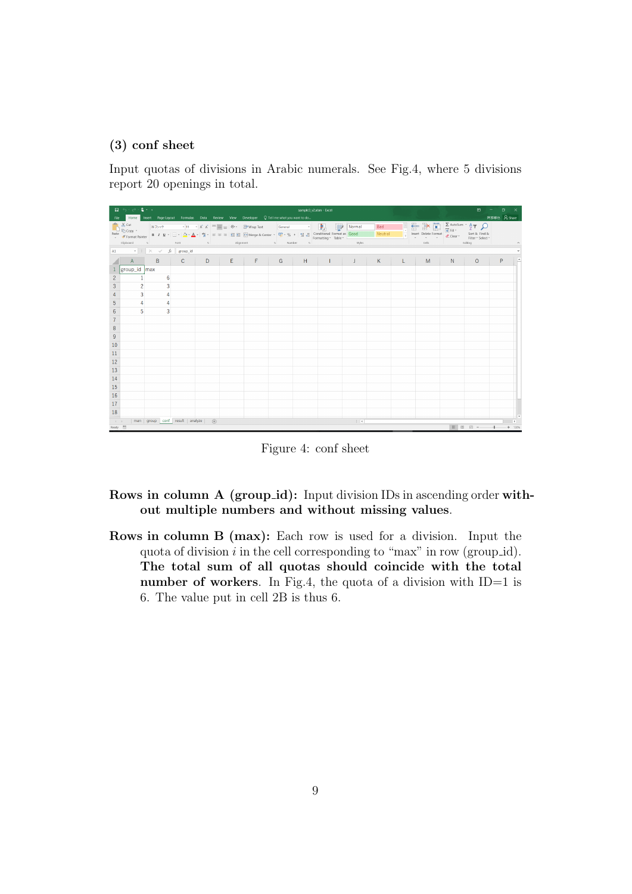#### **(3) conf sheet**

Input quotas of divisions in Arabic numerals. See Fig.4, where 5 divisions report 20 openings in total.

|                                                          | - 日 ら・お・4・。<br>sample3_v2.xlsm - Excel<br>Home Insert Page Layout Formulas Data Review View Developer Q Tell me what you want to do                                                                                            |                   |               |               |  |                                               |  |  |  |             |                        |  |                                                                                                                                                                                                                                                                                                                                                                                                                                       |       | $\mathbf{E}$ | $  \sigma$ $\times$ |                            |
|----------------------------------------------------------|--------------------------------------------------------------------------------------------------------------------------------------------------------------------------------------------------------------------------------|-------------------|---------------|---------------|--|-----------------------------------------------|--|--|--|-------------|------------------------|--|---------------------------------------------------------------------------------------------------------------------------------------------------------------------------------------------------------------------------------------------------------------------------------------------------------------------------------------------------------------------------------------------------------------------------------------|-------|--------------|---------------------|----------------------------|
| File                                                     |                                                                                                                                                                                                                                |                   |               |               |  |                                               |  |  |  |             |                        |  |                                                                                                                                                                                                                                                                                                                                                                                                                                       |       |              | 阿部修也 A Share        |                            |
|                                                          |                                                                                                                                                                                                                                |                   |               |               |  |                                               |  |  |  |             | Bad                    |  | $\begin{tabular}{ c c c c c c c } \hline \multicolumn{1}{ c }{\textbf{C}} & \multicolumn{1}{ c }{\textbf{C}} & \multicolumn{1}{ c }{\textbf{C}} & \multicolumn{1}{ c }{\textbf{A}} & \multicolumn{1}{ c }{\textbf{A}} & \multicolumn{1}{ c }{\textbf{A}} & \multicolumn{1}{ c }{\textbf{A}} & \multicolumn{1}{ c }{\textbf{A}} & \multicolumn{1}{ c }{\textbf{A}} & \multicolumn{1}{ c }{\textbf{A}} & \multicolumn{1}{ c }{\textbf{$ |       |              |                     |                            |
|                                                          |                                                                                                                                                                                                                                |                   |               |               |  |                                               |  |  |  |             | $\blacksquare$ Neutral |  |                                                                                                                                                                                                                                                                                                                                                                                                                                       |       |              |                     |                            |
|                                                          |                                                                                                                                                                                                                                |                   |               |               |  | Clipboard G Eont G Afgoment G Number G Styles |  |  |  |             |                        |  | $\mathsf{Cells}$                                                                                                                                                                                                                                                                                                                                                                                                                      |       | Editing      |                     | $\widehat{\phantom{a}}$    |
|                                                          | A1 $\cdots$ $\vdots$ $\times$ $\check{f}$ group_id                                                                                                                                                                             |                   |               |               |  |                                               |  |  |  |             |                        |  |                                                                                                                                                                                                                                                                                                                                                                                                                                       |       |              |                     |                            |
|                                                          | A                                                                                                                                                                                                                              | $B \qquad \qquad$ | $C \parallel$ | $D \parallel$ |  | $E$ $F$ $G$ $H$ $I$ $J$ $K$ $L$               |  |  |  |             |                        |  |                                                                                                                                                                                                                                                                                                                                                                                                                                       | M N N | 0            | P                   |                            |
|                                                          | group_id max                                                                                                                                                                                                                   |                   |               |               |  |                                               |  |  |  |             |                        |  |                                                                                                                                                                                                                                                                                                                                                                                                                                       |       |              |                     |                            |
| $\overline{c}$                                           |                                                                                                                                                                                                                                | 6                 |               |               |  |                                               |  |  |  |             |                        |  |                                                                                                                                                                                                                                                                                                                                                                                                                                       |       |              |                     |                            |
| 3                                                        | $\overline{2}$                                                                                                                                                                                                                 | 3                 |               |               |  |                                               |  |  |  |             |                        |  |                                                                                                                                                                                                                                                                                                                                                                                                                                       |       |              |                     |                            |
| 4                                                        | 3                                                                                                                                                                                                                              | 4                 |               |               |  |                                               |  |  |  |             |                        |  |                                                                                                                                                                                                                                                                                                                                                                                                                                       |       |              |                     |                            |
| 5                                                        | $\overline{4}$                                                                                                                                                                                                                 | 4                 |               |               |  |                                               |  |  |  |             |                        |  |                                                                                                                                                                                                                                                                                                                                                                                                                                       |       |              |                     |                            |
| 6                                                        | 5                                                                                                                                                                                                                              | 3                 |               |               |  |                                               |  |  |  |             |                        |  |                                                                                                                                                                                                                                                                                                                                                                                                                                       |       |              |                     |                            |
| $\overline{7}$                                           |                                                                                                                                                                                                                                |                   |               |               |  |                                               |  |  |  |             |                        |  |                                                                                                                                                                                                                                                                                                                                                                                                                                       |       |              |                     |                            |
| $\begin{array}{c c} 8 \\ \hline 9 \\ \hline \end{array}$ |                                                                                                                                                                                                                                |                   |               |               |  |                                               |  |  |  |             |                        |  |                                                                                                                                                                                                                                                                                                                                                                                                                                       |       |              |                     |                            |
|                                                          |                                                                                                                                                                                                                                |                   |               |               |  |                                               |  |  |  |             |                        |  |                                                                                                                                                                                                                                                                                                                                                                                                                                       |       |              |                     |                            |
| 10                                                       |                                                                                                                                                                                                                                |                   |               |               |  |                                               |  |  |  |             |                        |  |                                                                                                                                                                                                                                                                                                                                                                                                                                       |       |              |                     |                            |
| 11                                                       |                                                                                                                                                                                                                                |                   |               |               |  |                                               |  |  |  |             |                        |  |                                                                                                                                                                                                                                                                                                                                                                                                                                       |       |              |                     |                            |
| 12                                                       |                                                                                                                                                                                                                                |                   |               |               |  |                                               |  |  |  |             |                        |  |                                                                                                                                                                                                                                                                                                                                                                                                                                       |       |              |                     |                            |
| 13                                                       |                                                                                                                                                                                                                                |                   |               |               |  |                                               |  |  |  |             |                        |  |                                                                                                                                                                                                                                                                                                                                                                                                                                       |       |              |                     |                            |
| 14                                                       |                                                                                                                                                                                                                                |                   |               |               |  |                                               |  |  |  |             |                        |  |                                                                                                                                                                                                                                                                                                                                                                                                                                       |       |              |                     |                            |
| $\begin{array}{r} 15 \\ 16 \\ \hline 17 \end{array}$     |                                                                                                                                                                                                                                |                   |               |               |  |                                               |  |  |  |             |                        |  |                                                                                                                                                                                                                                                                                                                                                                                                                                       |       |              |                     |                            |
|                                                          |                                                                                                                                                                                                                                |                   |               |               |  |                                               |  |  |  |             |                        |  |                                                                                                                                                                                                                                                                                                                                                                                                                                       |       |              |                     |                            |
|                                                          |                                                                                                                                                                                                                                |                   |               |               |  |                                               |  |  |  |             |                        |  |                                                                                                                                                                                                                                                                                                                                                                                                                                       |       |              |                     |                            |
| 18                                                       |                                                                                                                                                                                                                                |                   |               |               |  |                                               |  |  |  |             |                        |  |                                                                                                                                                                                                                                                                                                                                                                                                                                       |       |              |                     |                            |
| Ready 8m                                                 | and the set of the set of the set of the set of the set of the set of the set of the set of the set of the set of the set of the set of the set of the set of the set of the set of the set of the set of the set of the set o |                   |               | $\bigoplus$   |  |                                               |  |  |  | $\pm$ $\pm$ |                        |  |                                                                                                                                                                                                                                                                                                                                                                                                                                       |       | ■ ■ ■ ■ --   |                     | $\mathbb{R}$ .<br>$+ 130%$ |

Figure 4: conf sheet

#### Rows in column A (group\_id): Input division IDs in ascending order with**out multiple numbers and without missing values**.

**Rows in column B (max):** Each row is used for a division. Input the quota of division *i* in the cell corresponding to "max" in row (group id). **The total sum of all quotas should coincide with the total number of workers**. In Fig.4, the quota of a division with ID=1 is 6. The value put in cell 2B is thus 6.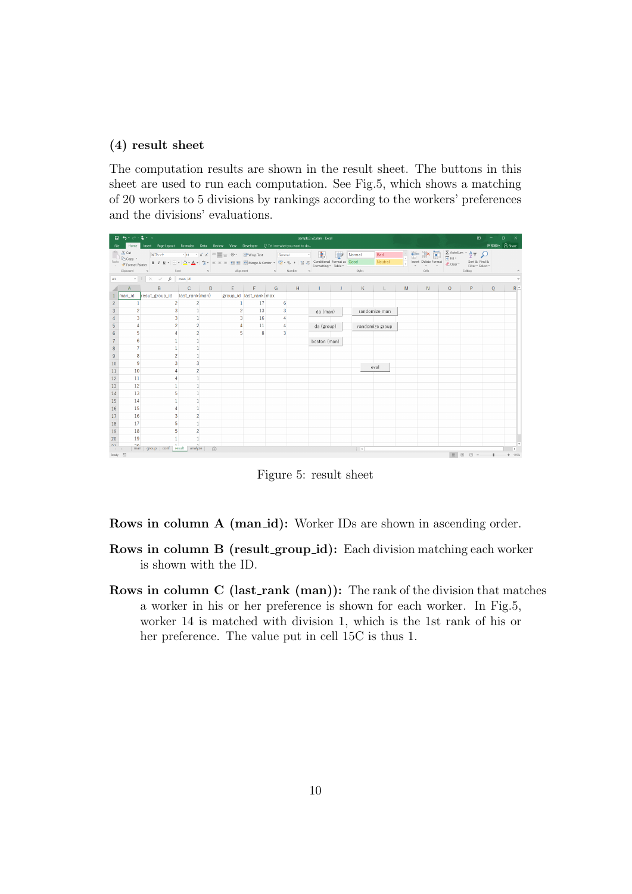#### **(4) result sheet**

The computation results are shown in the result sheet. The buttons in this sheet are used to run each computation. See Fig.5, which shows a matching of 20 workers to 5 divisions by rankings according to the workers' preferences and the divisions' evaluations.

|                          | 日ち・ごま・・<br>sample3 v2.xlsm - Excel<br>Home Insert Page Layout Formulas Data Review View Developer Q Tell me what you want to do<br>File: |                                                                                                                                                                                                                                                                                                                |                |             |                                                          |    |                |   |              |  |          |                 |   |                                                                                                                                                                                                                   |         | $\mathbf{E}$                 |                  | $\sigma$<br>$\mathsf{x}$ |
|--------------------------|------------------------------------------------------------------------------------------------------------------------------------------|----------------------------------------------------------------------------------------------------------------------------------------------------------------------------------------------------------------------------------------------------------------------------------------------------------------|----------------|-------------|----------------------------------------------------------|----|----------------|---|--------------|--|----------|-----------------|---|-------------------------------------------------------------------------------------------------------------------------------------------------------------------------------------------------------------------|---------|------------------------------|------------------|--------------------------|
|                          |                                                                                                                                          |                                                                                                                                                                                                                                                                                                                |                |             |                                                          |    |                |   |              |  |          |                 |   |                                                                                                                                                                                                                   |         |                              |                  | 阿部修也 A Share             |
|                          | <b>A</b> Cut                                                                                                                             | 游ゴシック                                                                                                                                                                                                                                                                                                          |                |             |                                                          |    |                |   |              |  | Normal   | Bad             |   | $\frac{1}{\sqrt{2}}$ $\frac{1}{\sqrt{2}}$ $\frac{1}{\sqrt{2}}$ $\frac{1}{\sqrt{2}}$ $\frac{1}{\sqrt{2}}$ $\frac{1}{\sqrt{2}}$ $\frac{1}{\sqrt{2}}$ $\frac{1}{\sqrt{2}}$ $\frac{1}{\sqrt{2}}$ $\frac{1}{\sqrt{2}}$ |         |                              |                  |                          |
|                          | En Copy *<br>Paste <b>State</b> Format Painter                                                                                           | <b>B</b> $I \perp \perp \Box$ $\cdot \parallel \Delta$ $\cdot \parallel \Delta$ $\cdot \parallel \Delta$ $\parallel$ $\equiv \equiv \equiv \parallel \Xi \parallel$ Merge & Center $\parallel \Box$ 96 $\parallel$ $\parallel$ $\parallel$ $\parallel$ $\parallel$ and [Conditional Format as $\parallel$ Good |                |             |                                                          |    |                |   |              |  |          | Neutral         | H | Insert Delete Format                                                                                                                                                                                              |         | Sort & Find &                |                  |                          |
|                          | Clipboard                                                                                                                                | s Font s Alignment s Number s                                                                                                                                                                                                                                                                                  |                |             |                                                          |    |                |   |              |  | Styles   |                 |   | and the cells and the cells of the cells                                                                                                                                                                          |         | Filter ~ Select ~<br>Editing |                  |                          |
| A1                       |                                                                                                                                          | $\cdot$ $\mid$ $\times$ $\checkmark$ $f_x$ man_id                                                                                                                                                                                                                                                              |                |             |                                                          |    |                |   |              |  |          |                 |   |                                                                                                                                                                                                                   |         |                              |                  |                          |
|                          |                                                                                                                                          |                                                                                                                                                                                                                                                                                                                |                |             |                                                          |    |                |   |              |  |          |                 |   |                                                                                                                                                                                                                   |         |                              |                  |                          |
|                          | A                                                                                                                                        | B                                                                                                                                                                                                                                                                                                              |                |             | $\begin{array}{c c c c c c c c c} E & E & G \end{array}$ |    |                | H |              |  |          |                 |   | $N = 1$                                                                                                                                                                                                           | $\circ$ | $P \Box$                     | $\circ$          | $R^{\sim}$               |
|                          |                                                                                                                                          | man_id resut_group_id last_rank(man)                                                                                                                                                                                                                                                                           |                |             | group_id last_rank(max                                   |    |                |   |              |  |          |                 |   |                                                                                                                                                                                                                   |         |                              |                  |                          |
| $\overline{\mathcal{L}}$ |                                                                                                                                          | $\overline{2}$                                                                                                                                                                                                                                                                                                 | $\overline{2}$ |             | $\mathbf{1}$                                             | 17 | 6              |   |              |  |          |                 |   |                                                                                                                                                                                                                   |         |                              |                  |                          |
| 3                        | $\overline{2}$                                                                                                                           | 3                                                                                                                                                                                                                                                                                                              | 1              |             | $\overline{2}$                                           | 13 | 3              |   | da (man)     |  |          | randomize man   |   |                                                                                                                                                                                                                   |         |                              |                  |                          |
|                          | 3                                                                                                                                        | $\overline{3}$                                                                                                                                                                                                                                                                                                 | $\mathbf{1}$   |             | $\overline{3}$                                           | 16 |                |   |              |  |          |                 |   |                                                                                                                                                                                                                   |         |                              |                  |                          |
| 5                        |                                                                                                                                          | $\overline{2}$                                                                                                                                                                                                                                                                                                 | $\overline{2}$ |             |                                                          | 11 | $\overline{4}$ |   | da (group)   |  |          | randomize group |   |                                                                                                                                                                                                                   |         |                              |                  |                          |
| 6                        | 5                                                                                                                                        |                                                                                                                                                                                                                                                                                                                | $\overline{2}$ |             | 5                                                        | 8  | $\overline{3}$ |   |              |  |          |                 |   |                                                                                                                                                                                                                   |         |                              |                  |                          |
|                          | 6                                                                                                                                        | 1                                                                                                                                                                                                                                                                                                              | $\mathbf{1}$   |             |                                                          |    |                |   | boston (man) |  |          |                 |   |                                                                                                                                                                                                                   |         |                              |                  |                          |
| 8                        | 7                                                                                                                                        | $\mathbf{1}$                                                                                                                                                                                                                                                                                                   | $\mathbf{1}$   |             |                                                          |    |                |   |              |  |          |                 |   |                                                                                                                                                                                                                   |         |                              |                  |                          |
| $\overline{9}$           | 8                                                                                                                                        | $\overline{2}$                                                                                                                                                                                                                                                                                                 | $\mathbf{1}$   |             |                                                          |    |                |   |              |  |          |                 |   |                                                                                                                                                                                                                   |         |                              |                  |                          |
| 10                       | 9                                                                                                                                        | 3                                                                                                                                                                                                                                                                                                              | $\overline{3}$ |             |                                                          |    |                |   |              |  |          | eval            |   |                                                                                                                                                                                                                   |         |                              |                  |                          |
| 11                       | 10                                                                                                                                       |                                                                                                                                                                                                                                                                                                                | $\overline{2}$ |             |                                                          |    |                |   |              |  |          |                 |   |                                                                                                                                                                                                                   |         |                              |                  |                          |
| 12                       | 11                                                                                                                                       |                                                                                                                                                                                                                                                                                                                |                |             |                                                          |    |                |   |              |  |          |                 |   |                                                                                                                                                                                                                   |         |                              |                  |                          |
| 13                       | 12                                                                                                                                       |                                                                                                                                                                                                                                                                                                                |                |             |                                                          |    |                |   |              |  |          |                 |   |                                                                                                                                                                                                                   |         |                              |                  |                          |
| 14                       | 13                                                                                                                                       |                                                                                                                                                                                                                                                                                                                |                |             |                                                          |    |                |   |              |  |          |                 |   |                                                                                                                                                                                                                   |         |                              |                  |                          |
| 15                       | 14                                                                                                                                       |                                                                                                                                                                                                                                                                                                                |                |             |                                                          |    |                |   |              |  |          |                 |   |                                                                                                                                                                                                                   |         |                              |                  |                          |
| 16                       | 15                                                                                                                                       |                                                                                                                                                                                                                                                                                                                | $\mathbf{1}$   |             |                                                          |    |                |   |              |  |          |                 |   |                                                                                                                                                                                                                   |         |                              |                  |                          |
| 17                       | 16                                                                                                                                       | $\overline{3}$                                                                                                                                                                                                                                                                                                 | $\overline{2}$ |             |                                                          |    |                |   |              |  |          |                 |   |                                                                                                                                                                                                                   |         |                              |                  |                          |
| 18                       | 17                                                                                                                                       | 5                                                                                                                                                                                                                                                                                                              | $\mathbf{1}$   |             |                                                          |    |                |   |              |  |          |                 |   |                                                                                                                                                                                                                   |         |                              |                  |                          |
| 19                       | 18                                                                                                                                       | 5                                                                                                                                                                                                                                                                                                              | $\overline{2}$ |             |                                                          |    |                |   |              |  |          |                 |   |                                                                                                                                                                                                                   |         |                              |                  |                          |
| 20                       | 19                                                                                                                                       |                                                                                                                                                                                                                                                                                                                | 1              |             |                                                          |    |                |   |              |  |          |                 |   |                                                                                                                                                                                                                   |         |                              |                  |                          |
| 01<br>$-4-1$             | 20 <sub>0</sub>                                                                                                                          | man   group   conf   result   analyze                                                                                                                                                                                                                                                                          |                | $\bigoplus$ |                                                          |    |                |   |              |  | $\pm$ 30 |                 |   |                                                                                                                                                                                                                   |         |                              |                  | $\mathbf{F}$             |
| Ready 85                 |                                                                                                                                          |                                                                                                                                                                                                                                                                                                                |                |             |                                                          |    |                |   |              |  |          |                 |   |                                                                                                                                                                                                                   |         |                              | ■ ■ ■ → ■ → 115% |                          |

Figure 5: result sheet

**Rows in column A (man\_id):** Worker IDs are shown in ascending order.

- **Rows in column B (result\_group\_id):** Each division matching each worker is shown with the ID.
- **Rows in column C (last\_rank (man)):** The rank of the division that matches a worker in his or her preference is shown for each worker. In Fig.5, worker 14 is matched with division 1, which is the 1st rank of his or her preference. The value put in cell 15C is thus 1.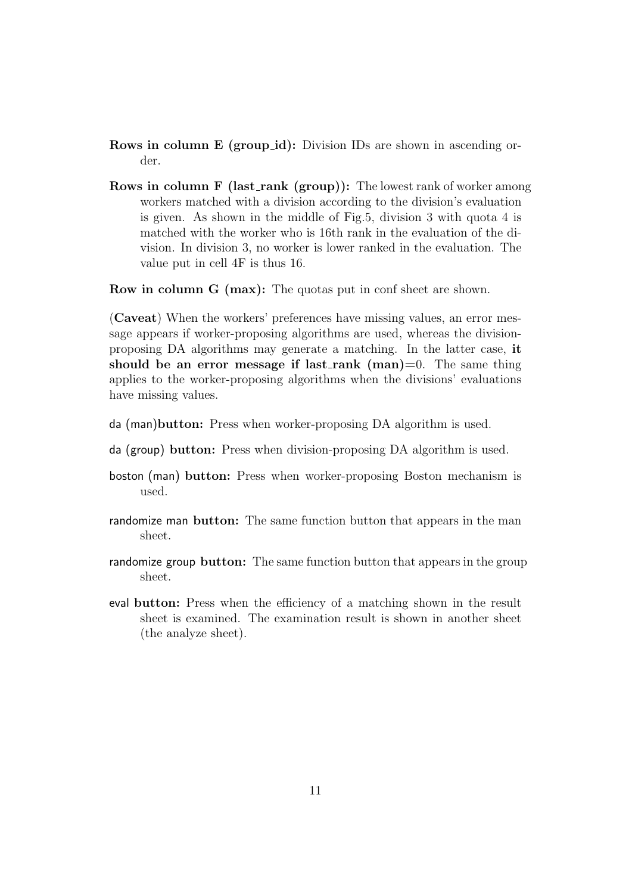**Rows in column E (group\_id):** Division IDs are shown in ascending order.

**Rows in column F (last\_rank (group)):** The lowest rank of worker among workers matched with a division according to the division's evaluation is given. As shown in the middle of Fig.5, division 3 with quota 4 is matched with the worker who is 16th rank in the evaluation of the division. In division 3, no worker is lower ranked in the evaluation. The value put in cell 4F is thus 16.

**Row in column G (max):** The quotas put in conf sheet are shown.

(**Caveat**) When the workers' preferences have missing values, an error message appears if worker-proposing algorithms are used, whereas the divisionproposing DA algorithms may generate a matching. In the latter case, **it should be an error message if last rank (man)=**0. The same thing applies to the worker-proposing algorithms when the divisions' evaluations have missing values.

- da (man)**button:** Press when worker-proposing DA algorithm is used.
- da (group) **button:** Press when division-proposing DA algorithm is used.
- boston (man) **button:** Press when worker-proposing Boston mechanism is used.
- randomize man **button:** The same function button that appears in the man sheet.
- randomize group **button:** The same function button that appears in the group sheet.
- eval **button:** Press when the efficiency of a matching shown in the result sheet is examined. The examination result is shown in another sheet (the analyze sheet).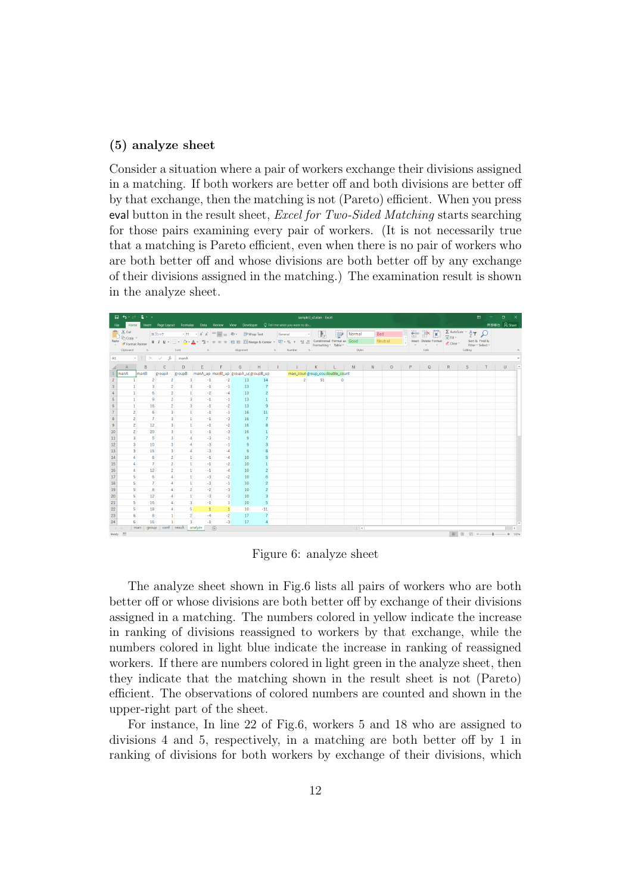#### **(5) analyze sheet**

Consider a situation where a pair of workers exchange their divisions assigned in a matching. If both workers are better off and both divisions are better off by that exchange, then the matching is not (Pareto) efficient. When you press eval button in the result sheet, *Excel for Two-Sided Matching* starts searching for those pairs examining every pair of workers. (It is not necessarily true that a matching is Pareto efficient, even when there is no pair of workers who are both better off and whose divisions are both better off by any exchange of their divisions assigned in the matching.) The examination result is shown in the analyze sheet.



Figure 6: analyze sheet

The analyze sheet shown in Fig.6 lists all pairs of workers who are both better off or whose divisions are both better off by exchange of their divisions assigned in a matching. The numbers colored in yellow indicate the increase in ranking of divisions reassigned to workers by that exchange, while the numbers colored in light blue indicate the increase in ranking of reassigned workers. If there are numbers colored in light green in the analyze sheet, then they indicate that the matching shown in the result sheet is not (Pareto) efficient. The observations of colored numbers are counted and shown in the upper-right part of the sheet.

For instance, In line 22 of Fig.6, workers 5 and 18 who are assigned to divisions 4 and 5, respectively, in a matching are both better off by 1 in ranking of divisions for both workers by exchange of their divisions, which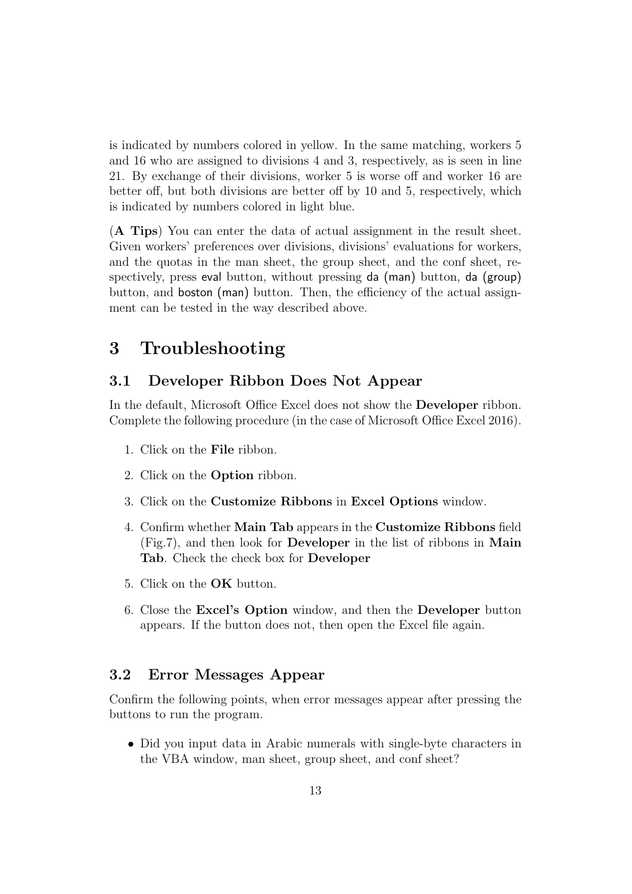is indicated by numbers colored in yellow. In the same matching, workers 5 and 16 who are assigned to divisions 4 and 3, respectively, as is seen in line 21. By exchange of their divisions, worker 5 is worse off and worker 16 are better off, but both divisions are better off by 10 and 5, respectively, which is indicated by numbers colored in light blue.

(**A Tips**) You can enter the data of actual assignment in the result sheet. Given workers' preferences over divisions, divisions' evaluations for workers, and the quotas in the man sheet, the group sheet, and the conf sheet, respectively, press eval button, without pressing da (man) button, da (group) button, and boston (man) button. Then, the efficiency of the actual assignment can be tested in the way described above.

### **3 Troubleshooting**

#### **3.1 Developer Ribbon Does Not Appear**

In the default, Microsoft Office Excel does not show the **Developer** ribbon. Complete the following procedure (in the case of Microsoft Office Excel 2016).

- 1. Click on the **File** ribbon.
- 2. Click on the **Option** ribbon.
- 3. Click on the **Customize Ribbons** in **Excel Options** window.
- 4. Confirm whether **Main Tab** appears in the **Customize Ribbons** field (Fig.7), and then look for **Developer** in the list of ribbons in **Main Tab**. Check the check box for **Developer**
- 5. Click on the **OK** button.
- 6. Close the **Excel's Option** window, and then the **Developer** button appears. If the button does not, then open the Excel file again.

#### **3.2 Error Messages Appear**

Confirm the following points, when error messages appear after pressing the buttons to run the program.

• Did you input data in Arabic numerals with single-byte characters in the VBA window, man sheet, group sheet, and conf sheet?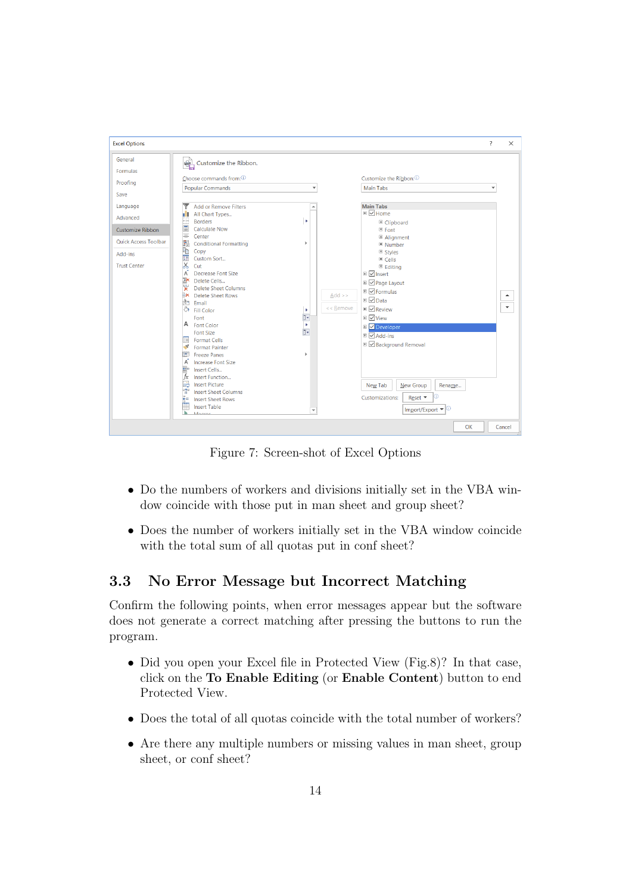

Figure 7: Screen-shot of Excel Options

- *•* Do the numbers of workers and divisions initially set in the VBA window coincide with those put in man sheet and group sheet?
- *•* Does the number of workers initially set in the VBA window coincide with the total sum of all quotas put in conf sheet?

### **3.3 No Error Message but Incorrect Matching**

Confirm the following points, when error messages appear but the software does not generate a correct matching after pressing the buttons to run the program.

- Did you open your Excel file in Protected View (Fig.8)? In that case, click on the **To Enable Editing** (or **Enable Content**) button to end Protected View.
- Does the total of all quotas coincide with the total number of workers?
- Are there any multiple numbers or missing values in man sheet, group sheet, or conf sheet?